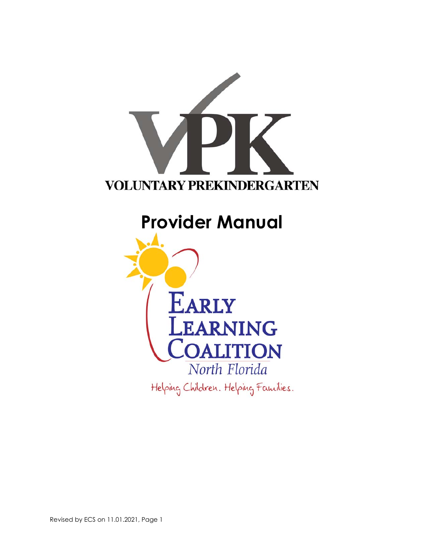

# **Provider Manual**

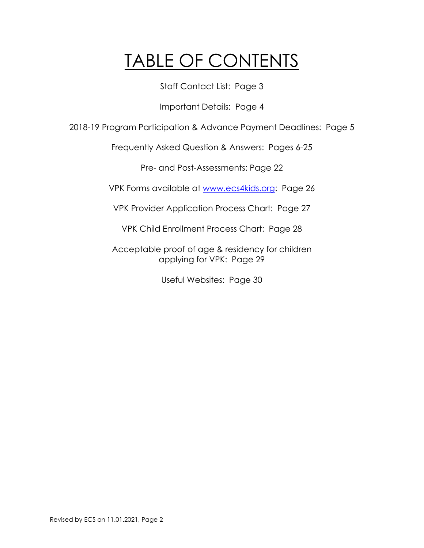# TABLE OF CONTENTS

Staff Contact List: Page 3

Important Details: Page 4

2018-19 Program Participation & Advance Payment Deadlines: Page 5

Frequently Asked Question & Answers: Pages 6-25

Pre- and Post-Assessments: Page 22

VPK Forms available at www.ecs4kids.org: Page 26

VPK Provider Application Process Chart: Page 27

VPK Child Enrollment Process Chart: Page 28

Acceptable proof of age & residency for children applying for VPK: Page 29

Useful Websites: Page 30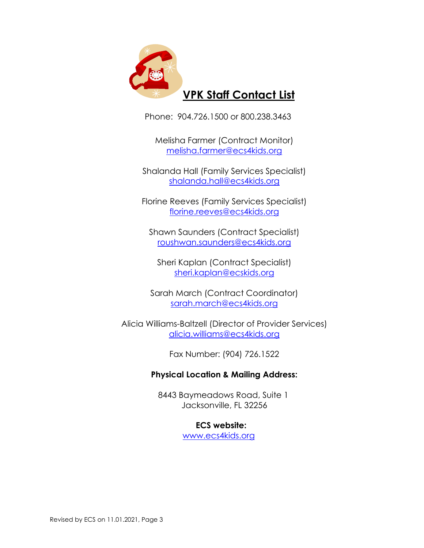

Phone: 904.726.1500 or 800.238.3463

Melisha Farmer (Contract Monitor) melisha.farmer@ecs4kids.org

Shalanda Hall (Family Services Specialist) shalanda.hall@ecs4kids.org

Florine Reeves (Family Services Specialist) florine.reeves@ecs4kids.org

Shawn Saunders (Contract Specialist) roushwan.saunders@ecs4kids.org

Sheri Kaplan (Contract Specialist) sheri.kaplan@ecskids.org

Sarah March (Contract Coordinator) sarah.march@ecs4kids.org

Alicia Williams-Baltzell (Director of Provider Services) alicia.williams@ecs4kids.org

Fax Number: (904) 726.1522

# **Physical Location & Mailing Address:**

 8443 Baymeadows Road, Suite 1 Jacksonville, FL 32256

# **ECS website:**

www.ecs4kids.org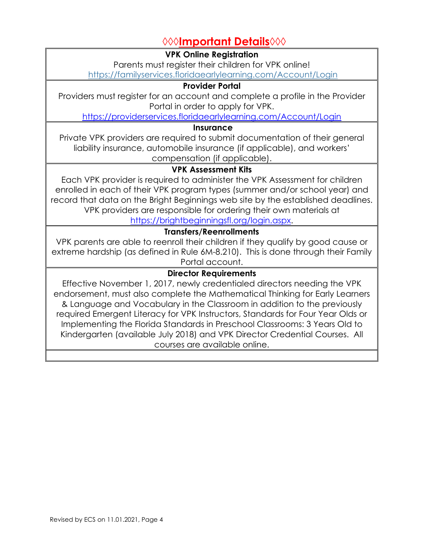# **◊◊◊Important Details◊◊◊**

**VPK Online Registration** 

Parents must register their children for VPK online!

https://familyservices.floridaearlylearning.com/Account/Login

# **Provider Portal**

Providers must register for an account and complete a profile in the Provider Portal in order to apply for VPK.

https://providerservices.floridaearlylearning.com/Account/Login

# **Insurance**

Private VPK providers are required to submit documentation of their general liability insurance, automobile insurance (if applicable), and workers' compensation (if applicable).

# **VPK Assessment Kits**

Each VPK provider is required to administer the VPK Assessment for children enrolled in each of their VPK program types (summer and/or school year) and record that data on the Bright Beginnings web site by the established deadlines. VPK providers are responsible for ordering their own materials at https://brightbeginningsfl.org/login.aspx.

# **Transfers/Reenrollments**

VPK parents are able to reenroll their children if they qualify by good cause or extreme hardship (as defined in Rule 6M-8.210). This is done through their Family Portal account.

# **Director Requirements**

Effective November 1, 2017, newly credentialed directors needing the VPK endorsement, must also complete the Mathematical Thinking for Early Learners & Language and Vocabulary in the Classroom in addition to the previously required Emergent Literacy for VPK Instructors, Standards for Four Year Olds or Implementing the Florida Standards in Preschool Classrooms: 3 Years Old to Kindergarten (available July 2018) and VPK Director Credential Courses. All courses are available online.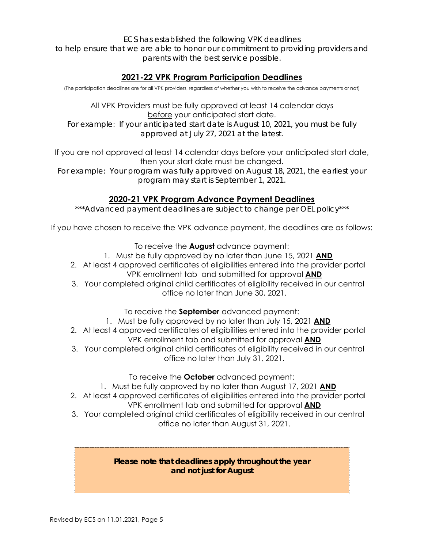*ECS has established the following VPK deadlines* 

*to help ensure that we are able to honor our commitment to providing providers and parents with the best service possible.* 

# **2021-22 VPK Program Participation Deadlines**

(The participation deadlines are for all VPK providers, regardless of whether you wish to receive the advance payments or not)

All VPK Providers must be fully approved at least 14 calendar days before your anticipated start date. *For example: If your anticipated start date is August 10, 2021, you must be fully approved at July 27, 2021 at the latest.* 

If you are not approved at least 14 calendar days before your anticipated start date, then your start date must be changed.

*For example: Your program was fully approved on August 18, 2021, the earliest your program may start is September 1, 2021.* 

# **2020-21 VPK Program Advance Payment Deadlines**

*\*\*\*Advanced payment deadlines are subject to change per OEL policy\*\*\** 

If you have chosen to receive the VPK advance payment, the deadlines are as follows:

To receive the **August** advance payment:

- 1. Must be fully approved by no later than June 15, 2021 **AND**
- 2. At least 4 approved certificates of eligibilities entered into the provider portal VPK enrollment tab and submitted for approval **AND**
- 3. Your completed original child certificates of eligibility received in our central office no later than June 30, 2021.
	- To receive the **September** advanced payment:
	- 1. Must be fully approved by no later than July 15, 2021 **AND**
- 2. At least 4 approved certificates of eligibilities entered into the provider portal VPK enrollment tab and submitted for approval **AND**
- 3. Your completed original child certificates of eligibility received in our central office no later than July 31, 2021.

To receive the **October** advanced payment:

- 1. Must be fully approved by no later than August 17, 2021 **AND**
- 2. At least 4 approved certificates of eligibilities entered into the provider portal
	- VPK enrollment tab and submitted for approval **AND**
- 3. Your completed original child certificates of eligibility received in our central office no later than August 31, 2021.

### *Please note that deadlines apply throughout the year and not just for August*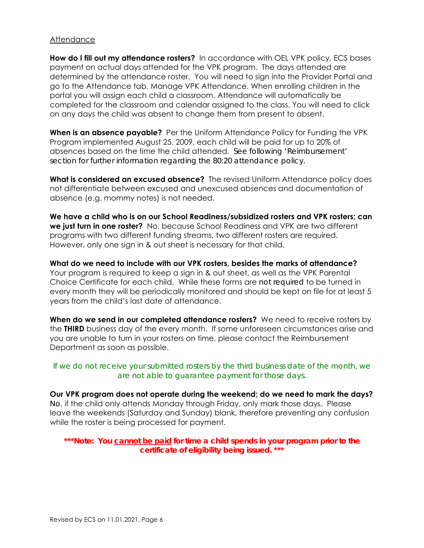#### **Attendance**

**How do I fill out my attendance rosters?** In accordance with OEL VPK policy, ECS bases payment on actual days attended for the VPK program. The days attended are determined by the attendance roster. You will need to sign into the Provider Portal and go to the Attendance tab, Manage VPK Attendance. When enrolling children in the portal you will assign each child a classroom. Attendance will automatically be completed for the classroom and calendar assigned to the class. You will need to click on any days the child was absent to change them from present to absent.

**When is an absence payable?** Per the Uniform Attendance Policy for Funding the VPK Program implemented August 25, 2009, each child will be paid for up to 20% of absences based on the time the child attended. *See following 'Reimbursement' section for further information regarding the 80:20 attendance policy.* 

**What is considered an excused absence?** The revised Uniform Attendance policy does not differentiate between excused and unexcused absences and documentation of absence (e.g. mommy notes) is not needed.

**We have a child who is on our School Readiness/subsidized rosters and VPK rosters; can we just turn in one roster?** No, because School Readiness and VPK are two different programs with two different funding streams, two different rosters are required. However, only one sign in & out sheet is necessary for that child.

**What do we need to include with our VPK rosters, besides the marks of attendance?**  Your program is required to keep a sign in & out sheet, as well as the VPK Parental Choice Certificate for each child. While these forms are *not required* to be turned in every month they will be periodically monitored and should be kept on file for at least 5 years from the child's last date of attendance.

**When do we send in our completed attendance rosters?** We need to receive rosters by the **THIRD** business day of the every month. If some unforeseen circumstances arise and you are unable to turn in your rosters on time, please contact the Reimbursement Department as soon as possible.

### *If we do not receive your submitted rosters by the third business date of the month, we are not able to guarantee payment for those days.*

**Our VPK program does not operate during the weekend; do we need to mark the days?** *No*, if the child only attends Monday through Friday, only mark those days. Please leave the weekends (Saturday and Sunday) blank, therefore preventing any confusion while the roster is being processed for payment.

*\*\*\*Note: You cannot be paid for time a child spends in your program prior to the certificate of eligibility being issued. \*\*\**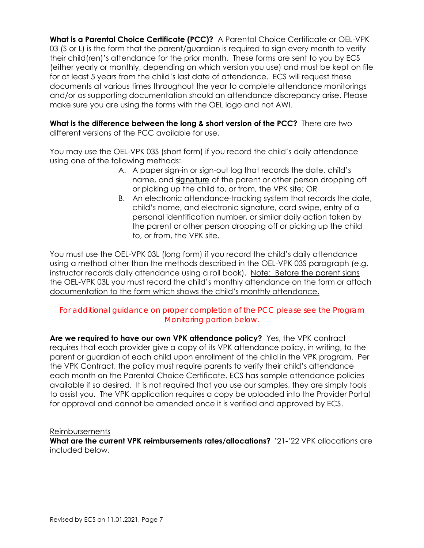**What is a Parental Choice Certificate (PCC)?** A Parental Choice Certificate or OEL-VPK 03 (S or L) is the form that the parent/guardian is required to sign every month to verify their child(ren)'s attendance for the prior month. These forms are sent to you by ECS (either yearly or monthly, depending on which version you use) and must be kept on file for at least 5 years from the child's last date of attendance. ECS will request these documents at various times throughout the year to complete attendance monitorings and/or as supporting documentation should an attendance discrepancy arise. Please make sure you are using the forms with the OEL logo and not AWI.

**What is the difference between the long & short version of the PCC?** There are two different versions of the PCC available for use.

You may use the OEL-VPK 03S (short form) if you record the child's daily attendance using one of the following methods:

- A. A paper sign-in or sign-out log that records the date, child's name, and *signature* of the parent or other person dropping off or picking up the child to, or from, the VPK site; OR
- B. An electronic attendance-tracking system that records the date, child's name, and electronic signature, card swipe, entry of a personal identification number, or similar daily action taken by the parent or other person dropping off or picking up the child to, or from, the VPK site.

You must use the OEL-VPK 03L (long form) if you record the child's daily attendance using a method other than the methods described in the OEL-VPK 03S paragraph (e.g. instructor records daily attendance using a roll book). Note: Before the parent signs the OEL-VPK 03L you must record the child's monthly attendance on the form or attach documentation to the form which shows the child's monthly attendance.

# *For additional guidance on proper completion of the PCC please see the Program Monitoring portion below.*

**Are we required to have our own VPK attendance policy?** Yes, the VPK contract requires that each provider give a copy of its VPK attendance policy, in writing, to the parent or guardian of each child upon enrollment of the child in the VPK program. Per the VPK Contract, the policy must require parents to verify their child's attendance each month on the Parental Choice Certificate. ECS has sample attendance policies available if so desired. It is not required that you use our samples, they are simply tools to assist you. The VPK application requires a copy be uploaded into the Provider Portal for approval and cannot be amended once it is verified and approved by ECS.

#### Reimbursements

**What are the current VPK reimbursements rates/allocations? '**21-'22 VPK allocations are included below.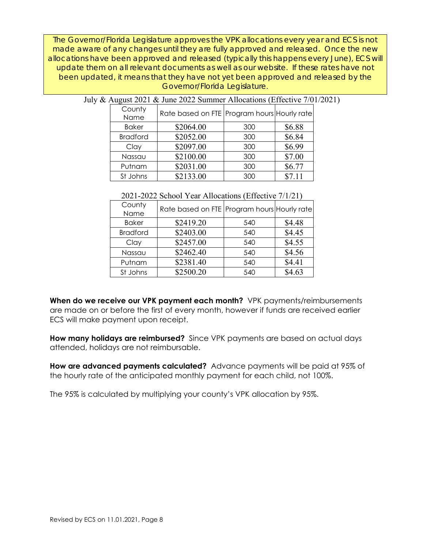*The Governor/Florida Legislature approves the VPK allocations every year and ECS is not made aware of any changes until they are fully approved and released. Once the new allocations have been approved and released (typically this happens every June), ECS will update them on all relevant documents as well as our website. If these rates have not been updated, it means that they have not yet been approved and released by the Governor/Florida Legislature*.

| $\frac{1}{100}$ and $\frac{1}{100}$ and $\frac{1}{100}$ and $\frac{1}{100}$ and $\frac{1}{100}$ and $\frac{1}{100}$ and $\frac{1}{100}$ and $\frac{1}{100}$ and $\frac{1}{100}$ and $\frac{1}{100}$ and $\frac{1}{100}$ and $\frac{1}{100}$ and $\frac{1}{100}$ and $\frac{1}{100}$ a |                                             |     |        |
|---------------------------------------------------------------------------------------------------------------------------------------------------------------------------------------------------------------------------------------------------------------------------------------|---------------------------------------------|-----|--------|
| County<br>Name                                                                                                                                                                                                                                                                        | Rate based on FTE Program hours Hourly rate |     |        |
| <b>Baker</b>                                                                                                                                                                                                                                                                          | \$2064.00                                   | 300 | \$6.88 |
| <b>Bradford</b>                                                                                                                                                                                                                                                                       | \$2052.00                                   | 300 | \$6.84 |
| Clay                                                                                                                                                                                                                                                                                  | \$2097.00                                   | 300 | \$6.99 |
| Nassau                                                                                                                                                                                                                                                                                | \$2100.00                                   | 300 | \$7.00 |
| Putnam                                                                                                                                                                                                                                                                                | \$2031.00                                   | 300 | \$6.77 |
| St Johns                                                                                                                                                                                                                                                                              | \$2133.00                                   | 300 | \$7.11 |

## July & August 2021 & June 2022 Summer Allocations (Effective 7/01/2021)

| 2021-2022 School Year Allocations (Effective 7/1/21) |  |  |
|------------------------------------------------------|--|--|
|                                                      |  |  |

| County<br>Name  | Rate based on FTE Program hours Hourly rate |     |        |
|-----------------|---------------------------------------------|-----|--------|
| <b>Baker</b>    | \$2419.20                                   | 540 | \$4.48 |
| <b>Bradford</b> | \$2403.00                                   | 540 | \$4.45 |
| Clay            | \$2457.00                                   | 540 | \$4.55 |
| Nassau          | \$2462.40                                   | 540 | \$4.56 |
| Putnam          | \$2381.40                                   | 540 | \$4.41 |
| St Johns        | \$2500.20                                   | 540 | \$4.63 |

**When do we receive our VPK payment each month?** VPK payments/reimbursements are made on or before the first of every month, however if funds are received earlier ECS will make payment upon receipt.

**How many holidays are reimbursed?** Since VPK payments are based on actual days attended, holidays are not reimbursable.

**How are advanced payments calculated?** Advance payments will be paid at 95% of the hourly rate of the anticipated monthly payment for each child, not 100%.

The 95% is calculated by multiplying your county's VPK allocation by 95%.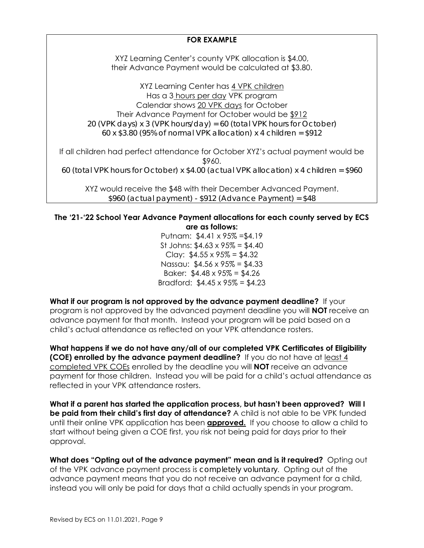# **FOR EXAMPLE**

XYZ Learning Center's county VPK allocation is \$4.00, their Advance Payment would be calculated at \$3.80.

XYZ Learning Center has 4 VPK children Has a 3 hours per day VPK program Calendar shows 20 VPK days for October Their Advance Payment for October would be \$912 *20 (VPK days) x 3 (VPK hours/day) = 60 (total VPK hours for October) 60 x \$3.80 (95% of normal VPK allocation) x 4 children = \$912* 

If all children had perfect attendance for October XYZ's actual payment would be \$960. *60 (total VPK hours for October) x \$4.00 (actual VPK allocation) x 4 children = \$960* 

XYZ would receive the \$48 with their December Advanced Payment. *\$960 (actual payment) - \$912 (Advance Payment) = \$48* 

## **The '21-'22 School Year Advance Payment allocations for each county served by ECS are as follows:**

Putnam: \$4.41 x 95% =\$4.19 St Johns:  $$4.63 \times 95\% = $4.40$ Clay: \$4.55 x 95% = \$4.32 Nassau: \$4.56 x 95% = \$4.33 Baker:  $$4.48 \times 95\% = $4.26$ Bradford:  $$4.45 \times 95\% = $4.23$ 

**What if our program is not approved by the advance payment deadline?** If your program is not approved by the advanced payment deadline you will **NOT** receive an advance payment for that month. Instead your program will be paid based on a child's actual attendance as reflected on your VPK attendance rosters.

**What happens if we do not have any/all of our completed VPK Certificates of Eligibility (COE) enrolled by the advance payment deadline?** If you do not have at least 4 completed VPK COEs enrolled by the deadline you will **NOT** receive an advance payment for those children. Instead you will be paid for a child's actual attendance as reflected in your VPK attendance rosters.

**What if a parent has started the application process, but hasn't been approved? Will I be paid from their child's first day of attendance?** A child is not able to be VPK funded until their online VPK application has been **approved.** If you choose to allow a child to start without being given a COE first, you risk not being paid for days prior to their approval.

**What does "Opting out of the advance payment" mean and is it required?** Opting out of the VPK advance payment process is *completely voluntary*. Opting out of the advance payment means that you do not receive an advance payment for a child, instead you will only be paid for days that a child actually spends in your program.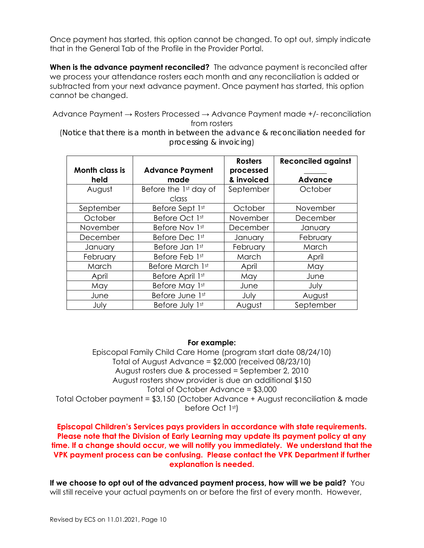Once payment has started, this option cannot be changed. To opt out, simply indicate that in the General Tab of the Profile in the Provider Portal.

**When is the advance payment reconciled?** The advance payment is reconciled after we process your attendance rosters each month and any reconciliation is added or subtracted from your next advance payment. Once payment has started, this option cannot be changed.

Advance Payment → Rosters Processed → Advance Payment made +/- reconciliation from rosters

(*Notice that there is a month in between the advance & reconciliation needed for processing & invoicing*)

|                       |                        | <b>Rosters</b> | <b>Reconciled against</b> |
|-----------------------|------------------------|----------------|---------------------------|
| <b>Month class is</b> | <b>Advance Payment</b> | processed      |                           |
| held                  | made                   | & invoiced     | <b>Advance</b>            |
| August                | Before the 1st day of  | September      | October                   |
|                       | class                  |                |                           |
| September             | Before Sept 1st        | October        | November                  |
| October               | Before Oct 1st         | November       | December                  |
| November              | Before Nov 1st         | December       | January                   |
| December              | Before Dec 1st         | January        | February                  |
| January               | Before Jan 1st         | February       | March                     |
| February              | Before Feb 1st         | March          | April                     |
| March                 | Before March 1st       | April          | May                       |
| April                 | Before April 1st       | May            | June                      |
| May                   | Before May 1st         | June           | July                      |
| June                  | Before June 1st        | July           | August                    |
| July                  | Before July 1st        | August         | September                 |

#### **For example:**

Episcopal Family Child Care Home (program start date 08/24/10) Total of August Advance = \$2,000 (received 08/23/10) August rosters due & processed = September 2, 2010 August rosters show provider is due an additional \$150 Total of October Advance = \$3,000 Total October payment = \$3,150 (October Advance + August reconciliation & made before Oct 1st)

#### **Episcopal Children's Services pays providers in accordance with state requirements. Please note that the Division of Early Learning may update its payment policy at any time. If a change should occur, we will notify you immediately. We understand that the VPK payment process can be confusing. Please contact the VPK Department if further explanation is needed.**

**If we choose to opt out of the advanced payment process, how will we be paid?** You will still receive your actual payments on or before the first of every month. However,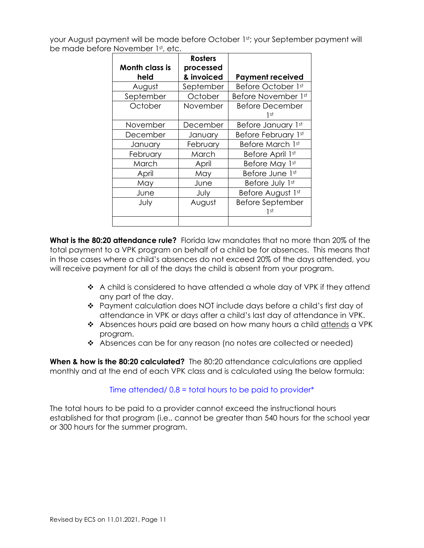your August payment will be made before October 1st; your September payment will be made before November 1st, etc.

| <b>Month class is</b> | <b>Rosters</b><br>processed |                                 |
|-----------------------|-----------------------------|---------------------------------|
| held                  | & invoiced                  | <b>Payment received</b>         |
| August                | September                   | Before October 1st              |
| September             | October                     | Before November 1st             |
| October               | November                    | <b>Before December</b><br>1 st  |
| November              | December                    | Before January 1st              |
| December              | January                     | Before February 1st             |
| January               | February                    | Before March 1st                |
| February              | March                       | Before April 1st                |
| March                 | April                       | Before May 1st                  |
| April                 | May                         | Before June 1st                 |
| May                   | June                        | Before July 1st                 |
| June                  | July                        | Before August 1st               |
| July                  | August                      | <b>Before September</b><br>1 st |
|                       |                             |                                 |

**What is the 80:20 attendance rule?** Florida law mandates that no more than 20% of the total payment to a VPK program on behalf of a child be for absences. This means that in those cases where a child's absences do not exceed 20% of the days attended, you will receive payment for all of the days the child is absent from your program.

- ◆ A child is considered to have attended a whole day of VPK if they attend any part of the day.
- Payment calculation does NOT include days before a child's first day of attendance in VPK or days after a child's last day of attendance in VPK.
- \* Absences hours paid are based on how many hours a child attends a VPK program.
- Absences can be for any reason (no notes are collected or needed)

**When & how is the 80:20 calculated?** The 80:20 attendance calculations are applied monthly and at the end of each VPK class and is calculated using the below formula:

# Time attended/ 0.8 = total hours to be paid to provider\*

The total hours to be paid to a provider cannot exceed the instructional hours established for that program (i.e., cannot be greater than 540 hours for the school year or 300 hours for the summer program.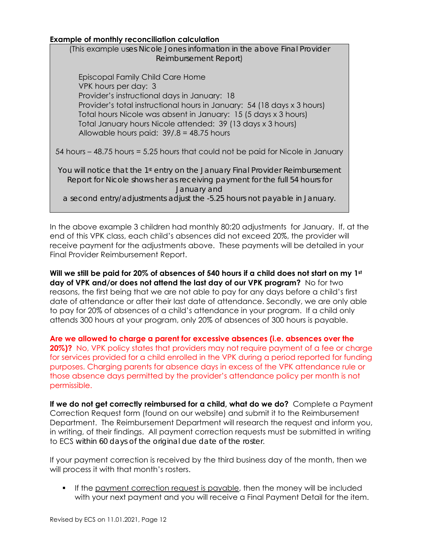#### **Example of monthly reconciliation calculation**

(This example u*ses Nicole Jones information in the above Final Provider Reimbursement Report*)

Episcopal Family Child Care Home VPK hours per day: 3 Provider's instructional days in January: 18 Provider's total instructional hours in January: 54 (18 days x 3 hours) Total hours Nicole was absent in January: 15 (5 days x 3 hours) Total January hours Nicole attended: 39 (13 days x 3 hours) Allowable hours paid: 39/.8 = 48.75 hours

54 hours – 48.75 hours = 5.25 hours that could not be paid for Nicole in January

*You will notice that the 1st entry on the January Final Provider Reimbursement Report for Nicole shows her as receiving payment for the full 54 hours for January and a second entry/adjustments adjust the -5.25 hours not payable in January.*

In the above example 3 children had monthly 80:20 adjustments for January. If, at the end of this VPK class, each child's absences did not exceed 20%, the provider will receive payment for the adjustments above. These payments will be detailed in your Final Provider Reimbursement Report.

**Will we still be paid for 20% of absences of 540 hours if a child does not start on my 1st day of VPK and/or does not attend the last day of our VPK program?** No for two reasons, the first being that we are not able to pay for any days before a child's first date of attendance or after their last date of attendance. Secondly, we are only able to pay for 20% of absences of a child's attendance in your program. If a child only attends 300 hours at your program, only 20% of absences of 300 hours is payable.

**Are we allowed to charge a parent for excessive absences (i.e. absences over the 20%)?** No, VPK policy states that providers may not require payment of a fee or charge for services provided for a child enrolled in the VPK during a period reported for funding purposes. Charging parents for absence days in excess of the VPK attendance rule or those absence days permitted by the provider's attendance policy per month is not permissible.

**If we do not get correctly reimbursed for a child, what do we do?** Complete a Payment Correction Request form (found on our website) and submit it to the Reimbursement Department. The Reimbursement Department will research the request and inform you, in writing, of their findings. All payment correction requests must be submitted in writing to ECS *within 60 days of the original due date of the roster*.

If your payment correction is received by the third business day of the month, then we will process it with that month's rosters.

If the payment correction request is payable, then the money will be included with your next payment and you will receive a Final Payment Detail for the item.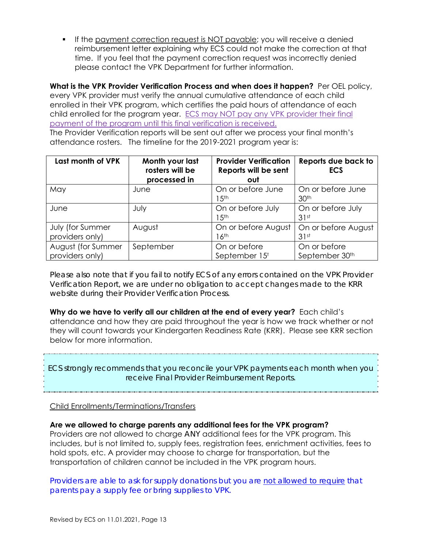If the payment correction request is NOT payable; you will receive a denied reimbursement letter explaining why ECS could not make the correction at that time. If you feel that the payment correction request was incorrectly denied please contact the VPK Department for further information.

**What is the VPK Provider Verification Process and when does it happen?** Per OEL policy, every VPK provider must verify the annual cumulative attendance of each child enrolled in their VPK program, which certifies the paid hours of attendance of each child enrolled for the program year. ECS may NOT pay any VPK provider their final payment of the program until this final verification is received. The Provider Verification reports will be sent out after we process your final month's attendance rosters. The timeline for the 2019-2021 program year is:

| Last month of VPK                     | Month your last<br>rosters will be<br>processed in | <b>Provider Verification</b><br>Reports will be sent<br>out | Reports due back to<br><b>ECS</b>     |
|---------------------------------------|----------------------------------------------------|-------------------------------------------------------------|---------------------------------------|
| May                                   | June                                               | On or before June<br>l 5th                                  | On or before June<br>30 <sup>th</sup> |
| June                                  | July                                               | On or before July<br>l 5th                                  | On or before July<br>31st             |
| July (for Summer<br>providers only)   | August                                             | On or before August<br>16th                                 | On or before August<br>31st           |
| August (for Summer<br>providers only) | September                                          | On or before<br>September 15 <sup>t</sup>                   | On or before<br>September 30th        |

*Please also note that if you fail to notify ECS of any errors contained on the VPK Provider Verification Report, we are under no obligation to accept changes made to the KRR website during their Provider Verification Process.*

**Why do we have to verify all our children at the end of every year?** Each child's attendance and how they are paid throughout the year is how we track whether or not they will count towards your Kindergarten Readiness Rate (KRR). Please see KRR section below for more information.

*ECS strongly recommends that you reconcile your VPK payments each month when you receive Final Provider Reimbursement Reports.* 

# Child Enrollments/Terminations/Transfers

**Are we allowed to charge parents any additional fees for the VPK program?**

Providers are not allowed to charge *ANY* additional fees for the VPK program. This includes, but is not limited to, supply fees, registration fees, enrichment activities, fees to hold spots, etc. A provider may choose to charge for transportation, but the transportation of children cannot be included in the VPK program hours.

*Providers are able to ask for supply donations but you are not allowed to require that parents pay a supply fee or bring supplies to VPK.*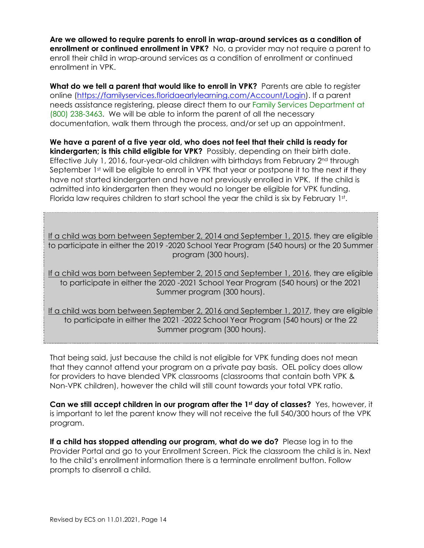**Are we allowed to require parents to enroll in wrap-around services as a condition of enrollment or continued enrollment in VPK?** No, a provider may not require a parent to enroll their child in wrap-around services as a condition of enrollment or continued enrollment in VPK.

**What do we tell a parent that would like to enroll in VPK?** Parents are able to register online (https://familyservices.floridaearlylearning.com/Account/Login). If a parent needs assistance registering, please direct them to our Family Services Department at (800) 238-3463. We will be able to inform the parent of all the necessary documentation, walk them through the process, and/or set up an appointment.

**We have a parent of a five year old, who does not feel that their child is ready for kindergarten; is this child eligible for VPK?** Possibly, depending on their birth date. Effective July 1, 2016, four-year-old children with birthdays from February 2<sup>nd</sup> through September 1st will be eligible to enroll in VPK that year or postpone it to the next if they have not started kindergarten and have not previously enrolled in VPK. If the child is admitted into kindergarten then they would no longer be eligible for VPK funding. Florida law requires children to start school the year the child is six by February 1st.

If a child was born between September 2, 2014 and September 1, 2015, they are eligible to participate in either the 2019 -2020 School Year Program (540 hours) or the 20 Summer program (300 hours).

If a child was born between September 2, 2015 and September 1, 2016, they are eligible to participate in either the 2020 -2021 School Year Program (540 hours) or the 2021 Summer program (300 hours).

If a child was born between September 2, 2016 and September 1, 2017, they are eligible to participate in either the 2021 -2022 School Year Program (540 hours) or the 22 Summer program (300 hours).

That being said, just because the child is not eligible for VPK funding does not mean that they cannot attend your program on a private pay basis. OEL policy does allow for providers to have blended VPK classrooms (classrooms that contain both VPK & Non-VPK children), however the child will still count towards your total VPK ratio.

**Can we still accept children in our program after the 1st day of classes?** Yes, however, it is important to let the parent know they will not receive the full 540/300 hours of the VPK program.

**If a child has stopped attending our program, what do we do?** Please log in to the Provider Portal and go to your Enrollment Screen. Pick the classroom the child is in. Next to the child's enrollment information there is a terminate enrollment button. Follow prompts to disenroll a child.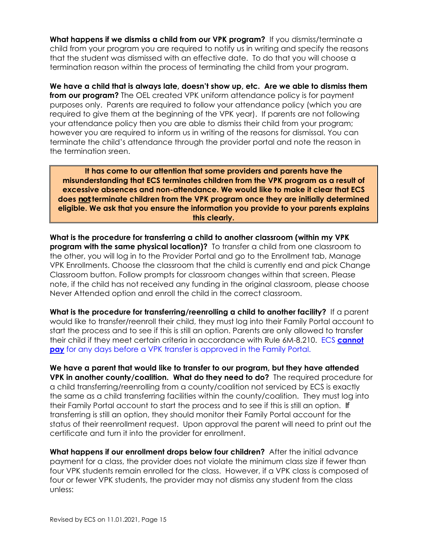**What happens if we dismiss a child from our VPK program?** If you dismiss/terminate a child from your program you are required to notify us in writing and specify the reasons that the student was dismissed with an effective date. To do that you will choose a termination reason within the process of terminating the child from your program.

**We have a child that is always late, doesn't show up, etc. Are we able to dismiss them from our program?** The OEL created VPK uniform attendance policy is for payment purposes only. Parents are required to follow your attendance policy (which you are required to give them at the beginning of the VPK year). If parents are not following your attendance policy then you are able to dismiss their child from your program; however you are required to inform us in writing of the reasons for dismissal. You can terminate the child's attendance through the provider portal and note the reason in the termination sreen.

**It has come to our attention that some providers and parents have the misunderstanding that ECS terminates children from the VPK program as a result of excessive absences and non-attendance. We would like to make it clear that ECS does** *not* **terminate children from the VPK program once they are initially determined eligible. We ask that you ensure the information you provide to your parents explains this clearly.** 

**What is the procedure for transferring a child to another classroom (within my VPK program with the same physical location)?** To transfer a child from one classroom to the other, you will log in to the Provider Portal and go to the Enrollment tab, Manage VPK Enrollments. Choose the classroom that the child is currently end and pick Change Classroom button. Follow prompts for classroom changes within that screen. Please note, if the child has not received any funding in the original classroom, please choose Never Attended option and enroll the child in the correct classroom.

**What is the procedure for transferring/reenrolling a child to another facility?** If a parent would like to transfer/reenroll their child, they must log into their Family Portal account to start the process and to see if this is still an option. Parents are only allowed to transfer their child if they meet certain criteria in accordance with Rule 6M-8.210. ECS **cannot pay** for any days before a VPK transfer is approved in the Family Portal.

**We have a parent that would like to transfer to our program, but they have attended VPK in another county/coalition. What do they need to do?** The required procedure for a child transferring/reenrolling from a county/coalition not serviced by ECS is exactly the same as a child transferring facilities within the county/coalition. They must log into their Family Portal account to start the process and to see if this is still an option. *If* transferring is still an option, they should monitor their Family Portal account for the status of their reenrollment request. Upon approval the parent will need to print out the certificate and turn it into the provider for enrollment.

**What happens if our enrollment drops below four children?** After the initial advance payment for a class, the provider does not violate the minimum class size if fewer than four VPK students remain enrolled for the class. However, if a VPK class is composed of four or fewer VPK students, the provider may not dismiss any student from the class unless: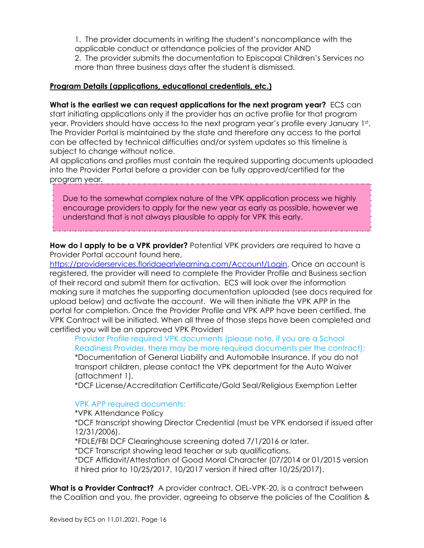1. The provider documents in writing the student's noncompliance with the applicable conduct or attendance policies of the provider AND 2. The provider submits the documentation to Episcopal Children's Services no more than three business days after the student is dismissed.

#### **Program Details (applications, educational credentials, etc.)**

**What is the earliest we can request applications for the next program year?** ECS can start initiating applications only if the provider has an active profile for that program year. Providers should have access to the next program year's profile every January 1st. The Provider Portal is maintained by the state and therefore any access to the portal can be affected by technical difficulties and/or system updates so this timeline is subject to change without notice.

All applications and profiles must contain the required supporting documents uploaded into the Provider Portal before a provider can be fully approved/certified for the program year.

Due to the somewhat complex nature of the VPK application process we highly encourage providers to apply for the new year as early as possible, however we understand that is not always plausible to apply for VPK this early.

**How do I apply to be a VPK provider?** Potential VPK providers are required to have a Provider Portal account found here,

https://providerservices.floridaearlylearning.com/Account/Login. Once an account is registered, the provider will need to complete the Provider Profile and Business section of their record and submit them for activation. ECS will look over the information making sure it matches the supporting documentation uploaded (see docs required for upload below) and activate the account. We will then initiate the VPK APP in the portal for completion. Once the Provider Profile and VPK APP have been certified, the VPK Contract will be initiated. When all three of those steps have been completed and certified you will be an approved VPK Provider!

Provider Profile required VPK documents (please note, if you are a School Readiness Provider, there may be more required documents per the contract): \*Documentation of General Liability and Automobile Insurance. If you do not transport children, please contact the VPK department for the Auto Waiver (attachment 1).

\*DCF License/Accreditation Certificate/Gold Seal/Religious Exemption Letter

#### VPK APP required documents:

\*VPK Attendance Policy

\*DCF transcript showing Director Credential (must be VPK endorsed if issued after 12/31/2006).

\*FDLE/FBI DCF Clearinghouse screening dated 7/1/2016 or later.

\*DCF Transcript showing lead teacher or sub qualifications.

\*DCF Affidavit/Attestation of Good Moral Character (07/2014 or 01/2015 version if hired prior to 10/25/2017, 10/2017 version if hired after 10/25/2017).

**What is a Provider Contract?** A provider contract, OEL-VPK-20, is a contract between the Coalition and you, the provider, agreeing to observe the policies of the Coalition &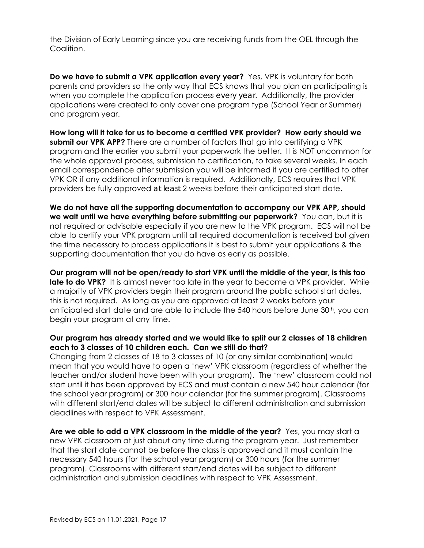the Division of Early Learning since you are receiving funds from the OEL through the Coalition.

**Do we have to submit a VPK application every year?** Yes, VPK is voluntary for both parents and providers so the only way that ECS knows that you plan on participating is when you complete the application process *every year*. Additionally, the provider applications were created to only cover one program type (School Year or Summer) and program year.

**How long will it take for us to become a certified VPK provider? How early should we submit our VPK APP?** There are a number of factors that ao into certifying a VPK program and the earlier you submit your paperwork the better. It is NOT uncommon for the whole approval process, submission to certification, to take several weeks. In each email correspondence after submission you will be informed if you are certified to offer VPK OR if any additional information is required. Additionally, ECS requires that VPK providers be fully approved *at least* 2 weeks before their anticipated start date.

**We do not have all the supporting documentation to accompany our VPK APP, should we wait until we have everything before submitting our paperwork?** You can, but it is not required or advisable especially if you are new to the VPK program. ECS will not be able to certify your VPK program until all required documentation is received but given the time necessary to process applications it is best to submit your applications & the supporting documentation that you do have as early as possible.

**Our program will not be open/ready to start VPK until the middle of the year, is this too late to do VPK?** It is almost never too late in the year to become a VPK provider. While a majority of VPK providers begin their program around the public school start dates, this is not required. As long as you are approved at least 2 weeks before your anticipated start date and are able to include the 540 hours before June 30th, you can begin your program at any time.

### **Our program has already started and we would like to split our 2 classes of 18 children each to 3 classes of 10 children each. Can we still do that?**

Changing from 2 classes of 18 to 3 classes of 10 (or any similar combination) would mean that you would have to open a 'new' VPK classroom (regardless of whether the teacher and/or student have been with your program). The 'new' classroom could not start until it has been approved by ECS and must contain a new 540 hour calendar (for the school year program) or 300 hour calendar (for the summer program). Classrooms with different start/end dates will be subject to different administration and submission deadlines with respect to VPK Assessment.

**Are we able to add a VPK classroom in the middle of the year?** Yes, you may start a new VPK classroom at just about any time during the program year. Just remember that the start date cannot be before the class is approved and it must contain the necessary 540 hours (for the school year program) or 300 hours (for the summer program). Classrooms with different start/end dates will be subject to different administration and submission deadlines with respect to VPK Assessment.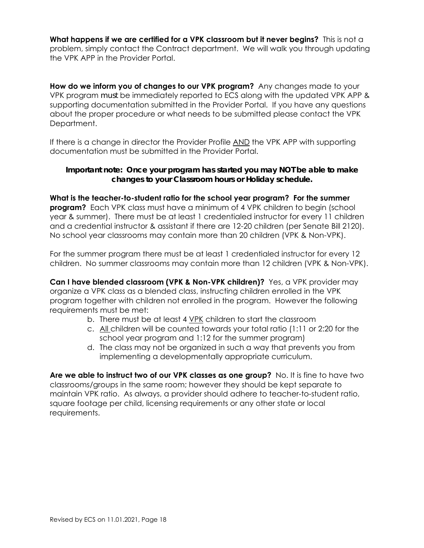**What happens if we are certified for a VPK classroom but it never begins?** This is not a problem, simply contact the Contract department. We will walk you through updating the VPK APP in the Provider Portal.

**How do we inform you of changes to our VPK program?** Any changes made to your VPK program *must* be immediately reported to ECS along with the updated VPK APP & supporting documentation submitted in the Provider Portal. If you have any questions about the proper procedure or what needs to be submitted please contact the VPK Department.

If there is a change in director the Provider Profile AND the VPK APP with supporting documentation must be submitted in the Provider Portal.

## *Important note: Once your program has started you may NOT be able to make changes to your Classroom hours or Holiday schedule.*

**What is the teacher-to-student ratio for the school year program? For the summer program?** Each VPK class must have a minimum of 4 VPK children to begin (school year & summer). There must be at least 1 credentialed instructor for every 11 children and a credential instructor & assistant if there are 12-20 children (per Senate Bill 2120). No school year classrooms may contain more than 20 children (VPK & Non-VPK).

For the summer program there must be at least 1 credentialed instructor for every 12 children. No summer classrooms may contain more than 12 children (VPK & Non-VPK).

**Can I have blended classroom (VPK & Non-VPK children)?** Yes, a VPK provider may organize a VPK class as a blended class, instructing children enrolled in the VPK program together with children not enrolled in the program. However the following requirements must be met:

- b. There must be at least 4 VPK children to start the classroom
- c. All children will be counted towards your total ratio (1:11 or 2:20 for the school year program and 1:12 for the summer program)
- d. The class may not be organized in such a way that prevents you from implementing a developmentally appropriate curriculum.

**Are we able to instruct two of our VPK classes as one group?** No. It is fine to have two classrooms/groups in the same room; however they should be kept separate to maintain VPK ratio. As always, a provider should adhere to teacher-to-student ratio, square footage per child, licensing requirements or any other state or local requirements.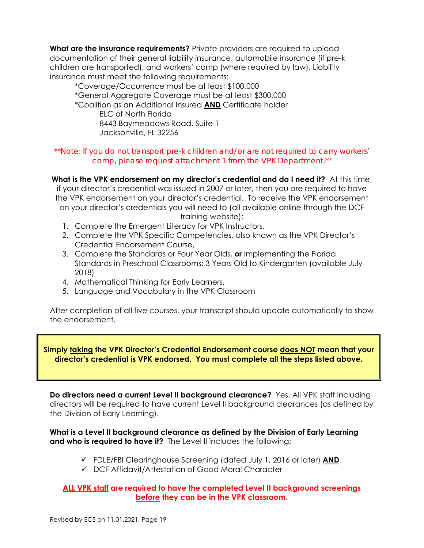**What are the insurance requirements?** Private providers are required to upload documentation of their general liability insurance, automobile insurance (if pre-k children are transported), and workers' comp (where required by law). Liability insurance must meet the following requirements:

\*Coverage/Occurrence must be at least \$100,000 \*General Aggregate Coverage must be at least \$300,000 \*Coalition as an Additional Insured **AND** Certificate holder ELC of North Florida 8443 Baymeadows Road, Suite 1 Jacksonville, FL 32256

### *\*\*Note: If you do not transport pre-k children and/or are not required to carry workers' comp, please request attachment 1 from the VPK Department.\*\**

**What is the VPK endorsement on my director's credential and do I need it?** At this time, if your director's credential was issued in 2007 or later, then you are required to have the VPK endorsement on your director's credential. To receive the VPK endorsement on your director's credentials you will need to (all available online through the DCF training website):

- 1. Complete the Emergent Literacy for VPK Instructors,
- 2. Complete the VPK Specific Competencies, also known as the VPK Director's Credential Endorsement Course,
- 3. Complete the Standards or Four Year Olds, **or** Implementing the Florida Standards in Preschool Classrooms: 3 Years Old to Kindergarten (available July 2018)
- 4. Mathematical Thinking for Early Learners,
- 5. Language and Vocabulary in the VPK Classroom

After completion of all five courses, your transcript should update automatically to show the endorsement.

### **Simply taking the VPK Director's Credential Endorsement course does NOT mean that your director's credential is VPK endorsed. You must complete all the steps listed above.**

**Do directors need a current Level II background clearance?** Yes, All VPK staff including directors will be required to have current Level II background clearances (as defined by the Division of Early Learning).

### **What is a Level II background clearance as defined by the Division of Early Learning and who is required to have it?** The Level II includes the following:

- FDLE/FBI Clearinghouse Screening (dated July 1, 2016 or later) **AND**
- DCF Affidavit/Attestation of Good Moral Character

# **ALL VPK staff are required to have the completed Level II background screenings before they can be in the VPK classroom.**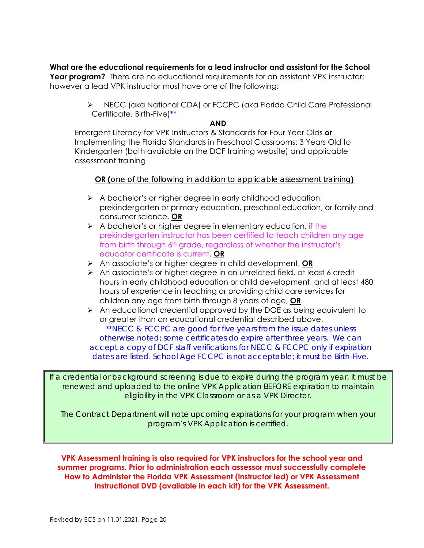**What are the educational requirements for a lead instructor and assistant for the School Year program?** There are no educational requirements for an assistant VPK instructor; however a lead VPK instructor must have one of the following:

> ▶ NECC (aka National CDA) or FCCPC (aka Florida Child Care Professional Certificate, Birth-Five)\*\*

#### **AND**

Emergent Literacy for VPK Instructors & Standards for Four Year Olds **or** Implementing the Florida Standards in Preschool Classrooms: 3 Years Old to Kindergarten (both available on the DCF training website) and applicable assessment training

### **OR (***one of the following in addition to applicable assessment training***)**

- $\triangleright$  A bachelor's or higher degree in early childhood education, prekindergarten or primary education, preschool education, or family and consumer science, **OR**
- $\triangleright$  A bachelor's or higher degree in elementary education, if the prekindergarten instructor has been certified to teach children any age from birth through 6<sup>th</sup> grade, regardless of whether the instructor's educator certificate is current, **OR**
- An associate's or higher degree in child development, **OR**
- $\triangleright$  An associate's or higher degree in an unrelated field, at least 6 credit hours in early childhood education or child development, and at least 480 hours of experience in teaching or providing child care services for children any age from birth through 8 years of age, **OR**
- $\triangleright$  An educational credential approved by the DOE as being equivalent to or greater than an educational credential described above.

*\*\*NECC & FCCPC are good for five years from the issue dates unless otherwise noted; some certificates do expire after three years. We can accept a copy of DCF staff verifications for NECC & FCCPC only if expiration dates are listed. School Age FCCPC is not acceptable; it must be Birth-Five.* 

*If a credential or background screening is due to expire during the program year, it must be renewed and uploaded to the online VPK Application BEFORE expiration to maintain eligibility in the VPK Classroom or as a VPK Director.* 

*The Contract Department will note upcoming expirations for your program when your program's VPK Application is certified.* 

**VPK Assessment training is also required for VPK instructors for the school year and summer programs. Prior to administration each assessor must successfully complete How to Administer the Florida VPK Assessment (instructor led) or VPK Assessment Instructional DVD (available in each kit) for the VPK Assessment.**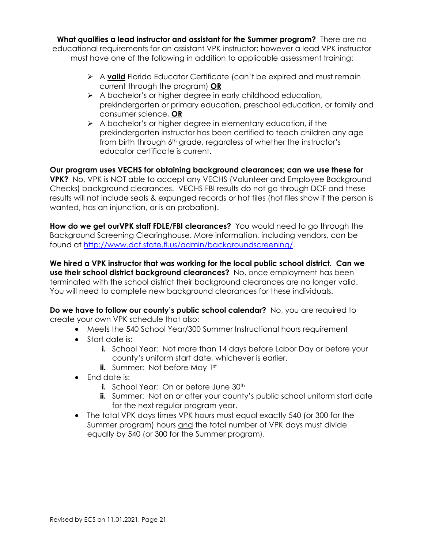**What qualifies a lead instructor and assistant for the Summer program?** There are no educational requirements for an assistant VPK instructor; however a lead VPK instructor must have one of the following in addition to applicable assessment training:

- A valid Florida Educator Certificate (can't be expired and must remain current through the program) **OR**
- $\triangleright$  A bachelor's or higher degree in early childhood education, prekindergarten or primary education, preschool education, or family and consumer science, **OR**
- $\triangleright$  A bachelor's or higher degree in elementary education, if the prekindergarten instructor has been certified to teach children any age from birth through 6<sup>th</sup> grade, regardless of whether the instructor's educator certificate is current.

**Our program uses VECHS for obtaining background clearances; can we use these for VPK?** No, VPK is NOT able to accept any VECHS (Volunteer and Employee Background Checks) background clearances. VECHS FBI results do not go through DCF and these results will not include seals & expunged records or hot files (hot files show if the person is wanted, has an injunction, or is on probation).

**How do we get ourVPK staff FDLE/FBI clearances?** You would need to go through the Background Screening Clearinghouse. More information, including vendors, can be found at http://www.dcf.state.fl.us/admin/backgroundscreening/.

**We hired a VPK instructor that was working for the local public school district. Can we use their school district background clearances?** No, once employment has been terminated with the school district their background clearances are no longer valid. You will need to complete new background clearances for these individuals.

**Do we have to follow our county's public school calendar?** No, you are required to create your own VPK schedule that also:

- Meets the 540 School Year/300 Summer Instructional hours requirement
- Start date is:
	- **i.** School Year: Not more than 14 days before Labor Day or before your county's uniform start date, whichever is earlier.
	- **ii.** Summer: Not before May 1st
- Fnd date is:
	- **i.** School Year: On or before June 30<sup>th</sup>
	- **ii.** Summer: Not on or after your county's public school uniform start date for the next regular program year.
- The total VPK days times VPK hours must equal exactly 540 (or 300 for the Summer program) hours and the total number of VPK days must divide equally by 540 (or 300 for the Summer program).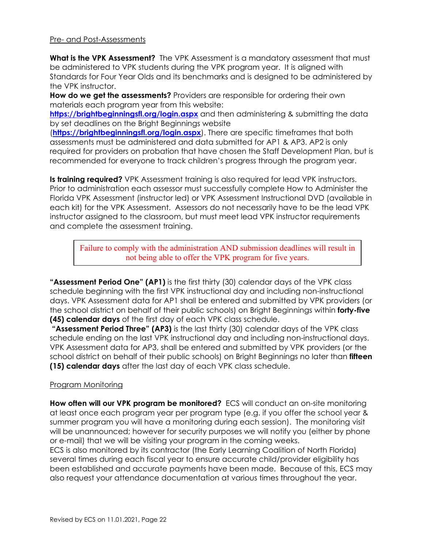#### Pre- and Post-Assessments

**What is the VPK Assessment?** The VPK Assessment is a mandatory assessment that must be administered to VPK students during the VPK program year. It is aligned with Standards for Four Year Olds and its benchmarks and is designed to be administered by the VPK instructor.

**How do we get the assessments?** Providers are responsible for ordering their own materials each program year from this website:

https://brightbeginningsfl.org/login.aspx and then administering & submitting the data by set deadlines on the Bright Beginnings website

(**https://brightbeginningsfl.org/login.aspx**). There are specific timeframes that both assessments must be administered and data submitted for AP1 & AP3. AP2 is only required for providers on probation that have chosen the Staff Development Plan, but is recommended for everyone to track children's progress through the program year.

**Is training required?** VPK Assessment training is also required for lead VPK instructors. Prior to administration each assessor must successfully complete How to Administer the Florida VPK Assessment (instructor led) or VPK Assessment Instructional DVD (available in each kit) for the VPK Assessment. Assessors do not necessarily have to be the lead VPK instructor assigned to the classroom, but must meet lead VPK instructor requirements and complete the assessment training.

Failure to comply with the administration AND submission deadlines will result in not being able to offer the VPK program for five years.

**"Assessment Period One" (AP1)** is the first thirty (30) calendar days of the VPK class schedule beginning with the first VPK instructional day and including non-instructional days. VPK Assessment data for AP1 shall be entered and submitted by VPK providers (or the school district on behalf of their public schools) on Bright Beginnings within **forty-five (45) calendar days** of the first day of each VPK class schedule.

 **"Assessment Period Three" (AP3)** is the last thirty (30) calendar days of the VPK class schedule ending on the last VPK instructional day and including non-instructional days. VPK Assessment data for AP3, shall be entered and submitted by VPK providers (or the school district on behalf of their public schools) on Bright Beginnings no later than **fifteen (15) calendar days** after the last day of each VPK class schedule.

#### Program Monitoring

**How often will our VPK program be monitored?** ECS will conduct an on-site monitoring at least once each program year per program type (e.g. if you offer the school year & summer program you will have a monitoring during each session). The monitoring visit will be unannounced; however for security purposes we will notify you (either by phone or e-mail) that we will be visiting your program in the coming weeks.

ECS is also monitored by its contractor (the Early Learning Coalition of North Florida) several times during each fiscal year to ensure accurate child/provider eligibility has been established and accurate payments have been made. Because of this, ECS may also request your attendance documentation at various times throughout the year.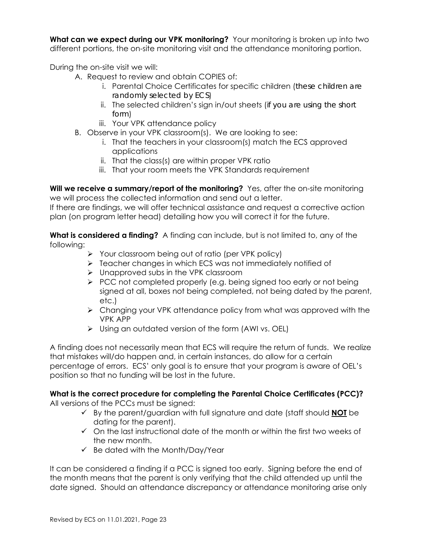**What can we expect during our VPK monitoring?** Your monitoring is broken up into two different portions, the on-site monitoring visit and the attendance monitoring portion.

During the on-site visit we will:

- A. Request to review and obtain COPIES of:
	- i. Parental Choice Certificates for specific children (*these children are randomly selected by ECS*)
	- ii. The selected children's sign in/out sheets (*if you are using the short form*)
	- iii. Your VPK attendance policy
- B. Observe in your VPK classroom(s). We are looking to see:
	- i. That the teachers in your classroom(s) match the ECS approved applications
	- ii. That the class(s) are within proper VPK ratio
	- iii. That your room meets the VPK Standards requirement

Will we receive a summary/report of the monitoring? Yes, after the on-site monitoring we will process the collected information and send out a letter.

If there are findings, we will offer technical assistance and request a corrective action plan (on program letter head) detailing how you will correct it for the future.

**What is considered a finding?** A finding can include, but is not limited to, any of the following:

- $\triangleright$  Your classroom being out of ratio (per VPK policy)
- $\triangleright$  Teacher changes in which ECS was not immediately notified of
- $\triangleright$  Unapproved subs in the VPK classroom
- $\triangleright$  PCC not completed properly (e.g. being signed too early or not being signed at all, boxes not being completed, not being dated by the parent, etc.)
- $\triangleright$  Changing your VPK attendance policy from what was approved with the VPK APP
- $\triangleright$  Using an outdated version of the form (AWI vs. OEL)

A finding does not necessarily mean that ECS will require the return of funds. We realize that mistakes will/do happen and, in certain instances, do allow for a certain percentage of errors. ECS' only goal is to ensure that your program is aware of OEL's position so that no funding will be lost in the future.

# **What is the correct procedure for completing the Parental Choice Certificates (PCC)?**

All versions of the PCCs must be signed:

- By the parent/guardian with full signature and date (staff should **NOT** be dating for the parent).
- $\checkmark$  On the last instructional date of the month or within the first two weeks of the new month.
- $\checkmark$  Be dated with the Month/Day/Year

It can be considered a finding if a PCC is signed too early. Signing before the end of the month means that the parent is only verifying that the child attended up until the date signed. Should an attendance discrepancy or attendance monitoring arise only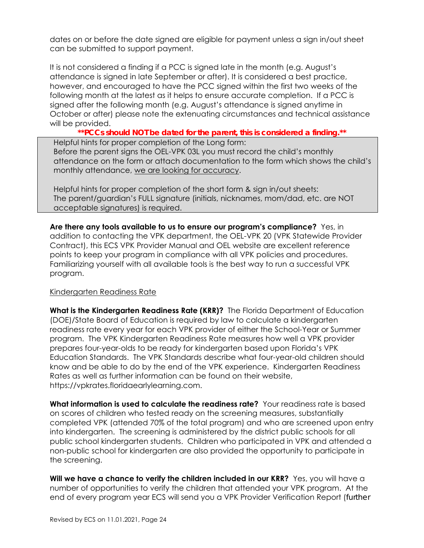dates on or before the date signed are eligible for payment unless a sign in/out sheet can be submitted to support payment.

It is not considered a finding if a PCC is signed late in the month (e.g. August's attendance is signed in late September or after). It is considered a best practice, however, and encouraged to have the PCC signed within the first two weeks of the following month at the latest as it helps to ensure accurate completion. If a PCC is signed after the following month (e.g. August's attendance is signed anytime in October or after) please note the extenuating circumstances and technical assistance will be provided.

*\*\*PCCs should NOT be dated for the parent, this is considered a finding.\*\**  Helpful hints for proper completion of the Long form: Before the parent signs the OEL-VPK 03L you must record the child's monthly attendance on the form or attach documentation to the form which shows the child's monthly attendance, we are looking for accuracy.

Helpful hints for proper completion of the short form & sign in/out sheets: The parent/guardian's FULL signature (initials, nicknames, mom/dad, etc. are NOT acceptable signatures) is required.

**Are there any tools available to us to ensure our program's compliance?** Yes, in addition to contacting the VPK department, the OEL-VPK 20 (VPK Statewide Provider Contract), this ECS VPK Provider Manual and OEL website are excellent reference points to keep your program in compliance with all VPK policies and procedures. Familiarizing yourself with all available tools is the best way to run a successful VPK program.

#### Kindergarten Readiness Rate

**What is the Kindergarten Readiness Rate (KRR)?** The Florida Department of Education (DOE)/State Board of Education is required by law to calculate a kindergarten readiness rate every year for each VPK provider of either the School-Year or Summer program. The VPK Kindergarten Readiness Rate measures how well a VPK provider prepares four-year-olds to be ready for kindergarten based upon Florida's VPK Education Standards. The VPK Standards describe what four-year-old children should know and be able to do by the end of the VPK experience. Kindergarten Readiness Rates as well as further information can be found on their website, https://vpkrates.floridaearlylearning.com.

**What information is used to calculate the readiness rate?** Your readiness rate is based on scores of children who tested ready on the screening measures, substantially completed VPK (attended 70% of the total program) and who are screened upon entry into kindergarten. The screening is administered by the district public schools for all public school kindergarten students. Children who participated in VPK and attended a non-public school for kindergarten are also provided the opportunity to participate in the screening.

**Will we have a chance to verify the children included in our KRR?** Yes, you will have a number of opportunities to verify the children that attended your VPK program. At the end of every program year ECS will send you a VPK Provider Verification Report (*further*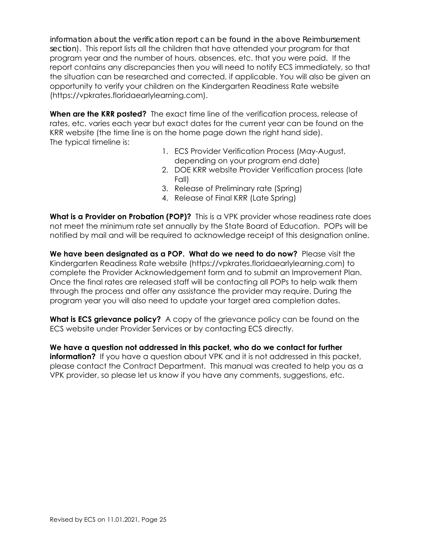*information about the verification report can be found in the above Reimbursement section*). This report lists all the children that have attended your program for that program year and the number of hours, absences, etc. that you were paid. If the report contains any discrepancies then you will need to notify ECS immediately, so that the situation can be researched and corrected, if applicable. You will also be given an opportunity to verify your children on the Kindergarten Readiness Rate website (https://vpkrates.floridaearlylearning.com).

**When are the KRR posted?** The exact time line of the verification process, release of rates, etc. varies each year but exact dates for the current year can be found on the KRR website (the time line is on the home page down the right hand side). The typical timeline is:

- 1. ECS Provider Verification Process (May-August, depending on your program end date)
- 2. DOE KRR website Provider Verification process (late Fall)
- 3. Release of Preliminary rate (Spring)
- 4. Release of Final KRR (Late Spring)

**What is a Provider on Probation (POP)?** This is a VPK provider whose readiness rate does not meet the minimum rate set annually by the State Board of Education. POPs will be notified by mail and will be required to acknowledge receipt of this designation online.

**We have been designated as a POP. What do we need to do now?** Please visit the Kindergarten Readiness Rate website (https://vpkrates.floridaearlylearning.com) to complete the Provider Acknowledgement form and to submit an Improvement Plan. Once the final rates are released staff will be contacting all POPs to help walk them through the process and offer any assistance the provider may require. During the program year you will also need to update your target area completion dates.

**What is ECS grievance policy?** A copy of the grievance policy can be found on the ECS website under Provider Services or by contacting ECS directly.

**We have a question not addressed in this packet, who do we contact for further information?** If you have a question about VPK and it is not addressed in this packet, please contact the Contract Department. This manual was created to help you as a VPK provider, so please let us know if you have any comments, suggestions, etc.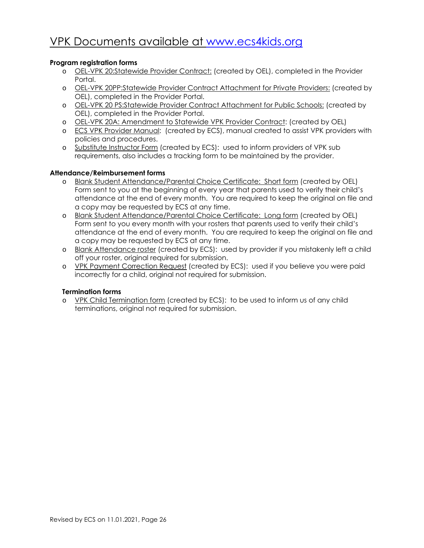# VPK Documents available at www.ecs4kids.org

### **Program registration forms**

- o OEL-VPK 20:Statewide Provider Contract: (created by OEL), completed in the Provider Portal.
- o OEL-VPK 20PP:Statewide Provider Contract Attachment for Private Providers: (created by OEL), completed in the Provider Portal.
- o OEL-VPK 20 PS:Statewide Provider Contract Attachment for Public Schools: (created by OEL), completed in the Provider Portal.
- o OEL-VPK 20A: Amendment to Statewide VPK Provider Contract: (created by OEL)
- o ECS VPK Provider Manual: (created by ECS), manual created to assist VPK providers with policies and procedures.
- o Substitute Instructor Form (created by ECS): used to inform providers of VPK sub requirements, also includes a tracking form to be maintained by the provider.

#### **Attendance/Reimbursement forms**

- o Blank Student Attendance/Parental Choice Certificate: Short form (created by OEL) Form sent to you at the beginning of every year that parents used to verify their child's attendance at the end of every month. You are required to keep the original on file and a copy may be requested by ECS at any time.
- o Blank Student Attendance/Parental Choice Certificate: Long form (created by OEL) Form sent to you every month with your rosters that parents used to verify their child's attendance at the end of every month. You are required to keep the original on file and a copy may be requested by ECS at any time.
- o Blank Attendance roster (created by ECS): used by provider if you mistakenly left a child off your roster, original required for submission.
- o VPK Payment Correction Request (created by ECS): used if you believe you were paid incorrectly for a child, original not required for submission.

#### **Termination forms**

o YPK Child Termination form (created by ECS): to be used to inform us of any child terminations, original not required for submission.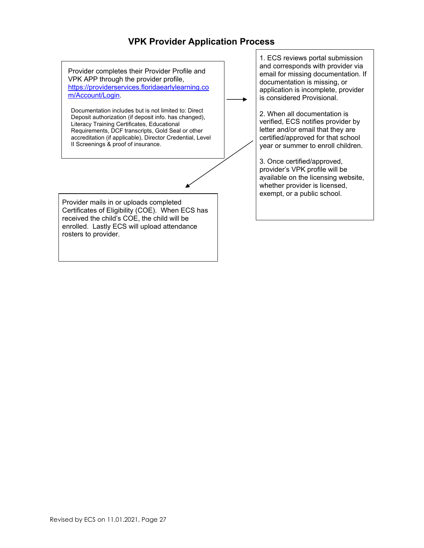# **VPK Provider Application Process**

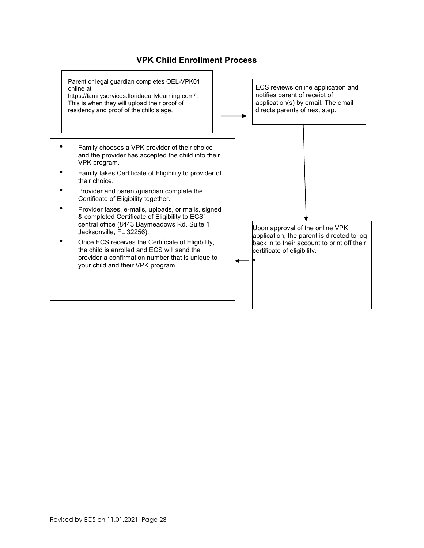# **VPK Child Enrollment Process**

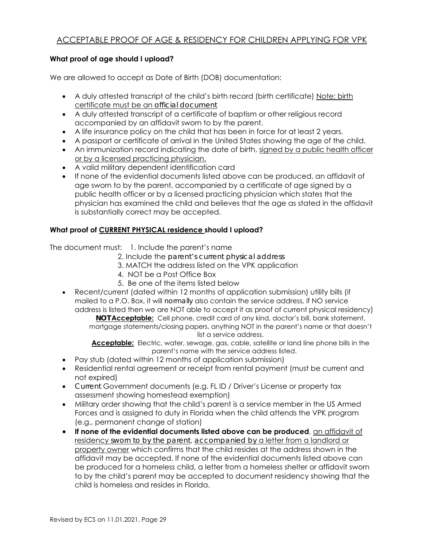# ACCEPTABLE PROOF OF AGE & RESIDENCY FOR CHILDREN APPLYING FOR VPK

### **What proof of age should I upload?**

We are allowed to accept as Date of Birth (DOB) documentation:

- A duly attested transcript of the child's birth record (birth certificate) Note: birth certificate must be an *official document*
- A duly attested transcript of a certificate of baptism or other religious record accompanied by an affidavit sworn to by the parent.
- A life insurance policy on the child that has been in force for at least 2 years.
- A passport or certificate of arrival in the United States showing the age of the child.
- An immunization record indicating the date of birth, signed by a public health officer or by a licensed practicing physician.
- A valid military dependent identification card
- If none of the evidential documents listed above can be produced, an affidavit of age sworn to by the parent, accompanied by a certificate of age signed by a public health officer or by a licensed practicing physician which states that the physician has examined the child and believes that the age as stated in the affidavit is substantially correct may be accepted.

### **What proof of CURRENT PHYSICAL residence should I upload?**

The document must: 1. Include the parent's name

- 2. Include the *parent's current physical address*
- 3. MATCH the address listed on the VPK application
- 4. NOT be a Post Office Box
- 5. Be one of the items listed below
- Recent/current (dated within 12 months of application submission) utility bills (if mailed to a P.O. Box, it will *normally* also contain the service address, if NO service address is listed then we are NOT able to accept it as proof of current physical residency)

*NOT* **Acceptable:** Cell phone, credit card of any kind, doctor's bill, bank statement, mortgage statements/closing papers, anything NOT in the parent's name or that doesn't list a service address.

**Acceptable:** Electric, water, sewage, gas, cable, satellite or land line phone bills in the parent's name with the service address listed.

- Pay stub (dated within 12 months of application submission)
- Residential rental agreement or receipt from rental payment (must be current and not expired)
- *Current* Government documents (e.g. FL ID / Driver's License or property tax assessment showing homestead exemption)
- Military order showing that the child's parent is a service member in the US Armed Forces and is assigned to duty in Florida when the child attends the VPK program (e.g., permanent change of station)
- **If none of the evidential documents listed above can be produced**, an affidavit of residency *sworn to by the parent*, *accompanied by* a letter from a landlord or property owner which confirms that the child resides at the address shown in the affidavit may be accepted. If none of the evidential documents listed above can be produced for a homeless child, a letter from a homeless shelter or affidavit sworn to by the child's parent may be accepted to document residency showing that the child is homeless and resides in Florida.